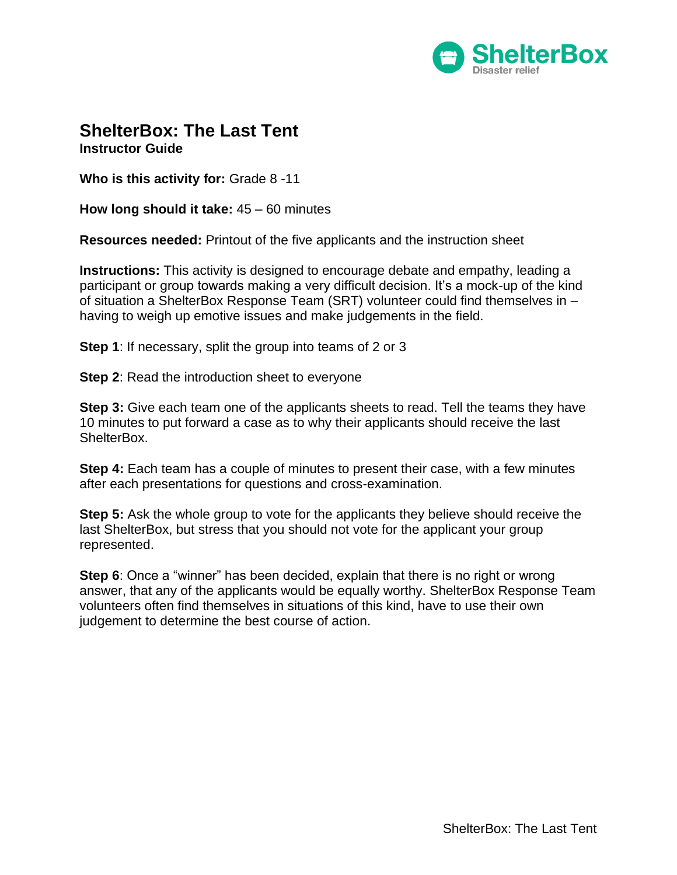

#### **ShelterBox: The Last Tent Instructor Guide**

**Who is this activity for:** Grade 8 -11

**How long should it take:** 45 – 60 minutes

**Resources needed:** Printout of the five applicants and the instruction sheet

**Instructions:** This activity is designed to encourage debate and empathy, leading a participant or group towards making a very difficult decision. It's a mock-up of the kind of situation a ShelterBox Response Team (SRT) volunteer could find themselves in – having to weigh up emotive issues and make judgements in the field.

**Step 1:** If necessary, split the group into teams of 2 or 3

**Step 2:** Read the introduction sheet to everyone

**Step 3:** Give each team one of the applicants sheets to read. Tell the teams they have 10 minutes to put forward a case as to why their applicants should receive the last ShelterBox.

**Step 4:** Each team has a couple of minutes to present their case, with a few minutes after each presentations for questions and cross-examination.

**Step 5:** Ask the whole group to vote for the applicants they believe should receive the last ShelterBox, but stress that you should not vote for the applicant your group represented.

**Step 6**: Once a "winner" has been decided, explain that there is no right or wrong answer, that any of the applicants would be equally worthy. ShelterBox Response Team volunteers often find themselves in situations of this kind, have to use their own judgement to determine the best course of action.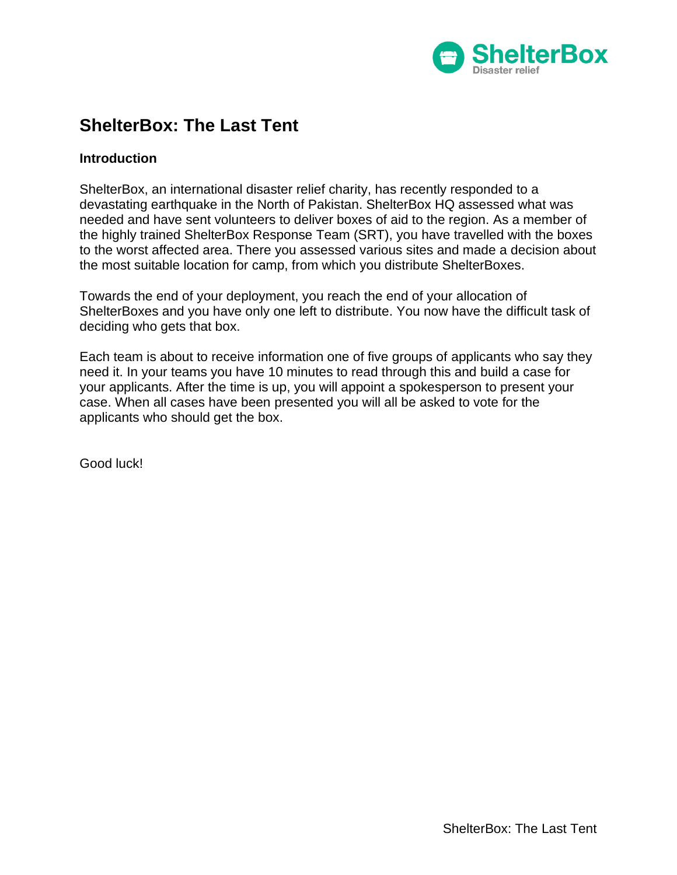

# **ShelterBox: The Last Tent**

#### **Introduction**

ShelterBox, an international disaster relief charity, has recently responded to a devastating earthquake in the North of Pakistan. ShelterBox HQ assessed what was needed and have sent volunteers to deliver boxes of aid to the region. As a member of the highly trained ShelterBox Response Team (SRT), you have travelled with the boxes to the worst affected area. There you assessed various sites and made a decision about the most suitable location for camp, from which you distribute ShelterBoxes.

Towards the end of your deployment, you reach the end of your allocation of ShelterBoxes and you have only one left to distribute. You now have the difficult task of deciding who gets that box.

Each team is about to receive information one of five groups of applicants who say they need it. In your teams you have 10 minutes to read through this and build a case for your applicants. After the time is up, you will appoint a spokesperson to present your case. When all cases have been presented you will all be asked to vote for the applicants who should get the box.

Good luck!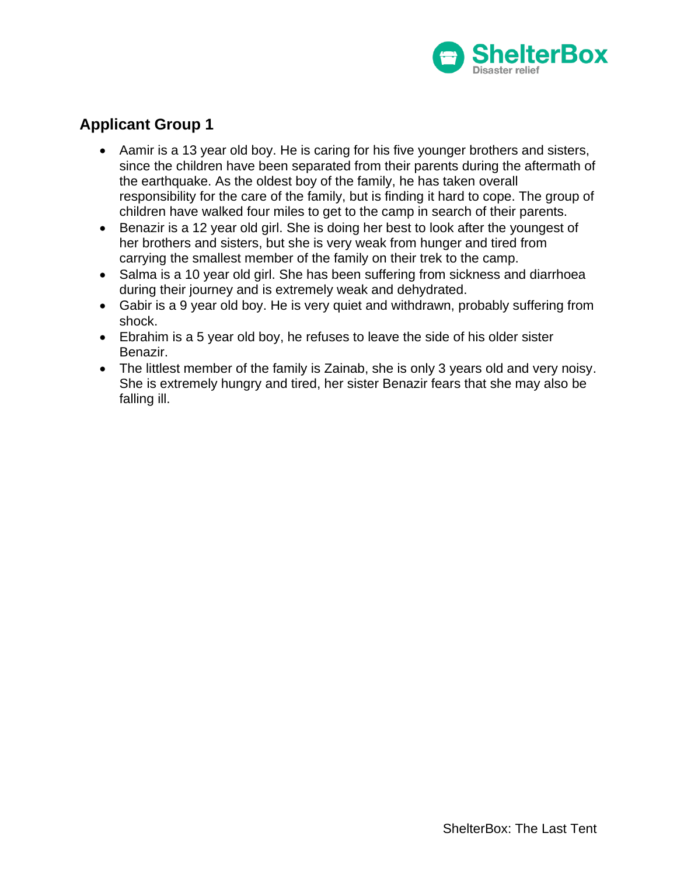

- Aamir is a 13 year old boy. He is caring for his five younger brothers and sisters, since the children have been separated from their parents during the aftermath of the earthquake. As the oldest boy of the family, he has taken overall responsibility for the care of the family, but is finding it hard to cope. The group of children have walked four miles to get to the camp in search of their parents.
- Benazir is a 12 year old girl. She is doing her best to look after the youngest of her brothers and sisters, but she is very weak from hunger and tired from carrying the smallest member of the family on their trek to the camp.
- Salma is a 10 year old girl. She has been suffering from sickness and diarrhoea during their journey and is extremely weak and dehydrated.
- Gabir is a 9 year old boy. He is very quiet and withdrawn, probably suffering from shock.
- Ebrahim is a 5 year old boy, he refuses to leave the side of his older sister Benazir.
- The littlest member of the family is Zainab, she is only 3 years old and very noisy. She is extremely hungry and tired, her sister Benazir fears that she may also be falling ill.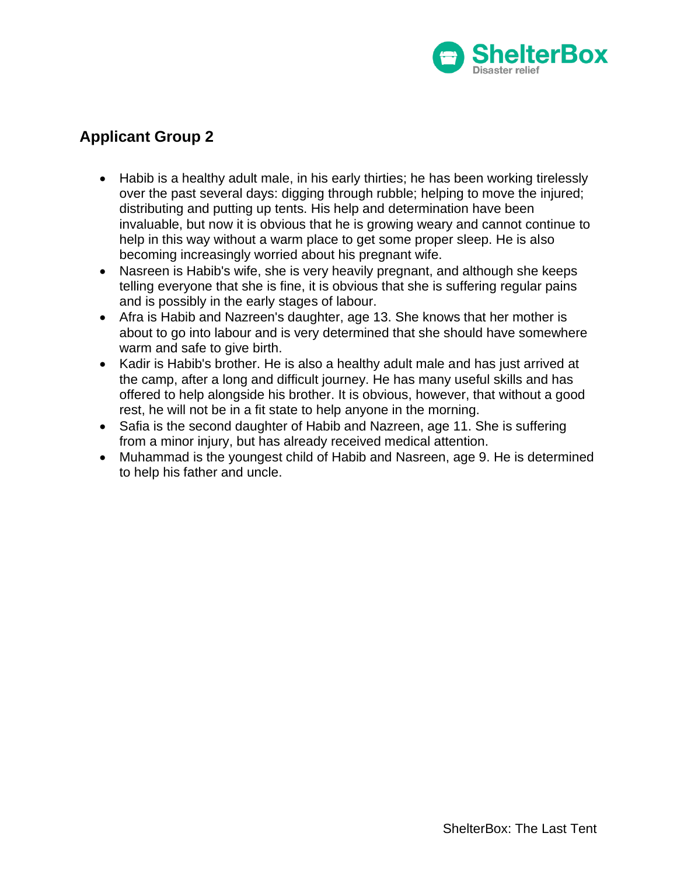

- Habib is a healthy adult male, in his early thirties; he has been working tirelessly over the past several days: digging through rubble; helping to move the injured; distributing and putting up tents. His help and determination have been invaluable, but now it is obvious that he is growing weary and cannot continue to help in this way without a warm place to get some proper sleep. He is also becoming increasingly worried about his pregnant wife.
- Nasreen is Habib's wife, she is very heavily pregnant, and although she keeps telling everyone that she is fine, it is obvious that she is suffering regular pains and is possibly in the early stages of labour.
- Afra is Habib and Nazreen's daughter, age 13. She knows that her mother is about to go into labour and is very determined that she should have somewhere warm and safe to give birth.
- Kadir is Habib's brother. He is also a healthy adult male and has just arrived at the camp, after a long and difficult journey. He has many useful skills and has offered to help alongside his brother. It is obvious, however, that without a good rest, he will not be in a fit state to help anyone in the morning.
- Safia is the second daughter of Habib and Nazreen, age 11. She is suffering from a minor injury, but has already received medical attention.
- Muhammad is the youngest child of Habib and Nasreen, age 9. He is determined to help his father and uncle.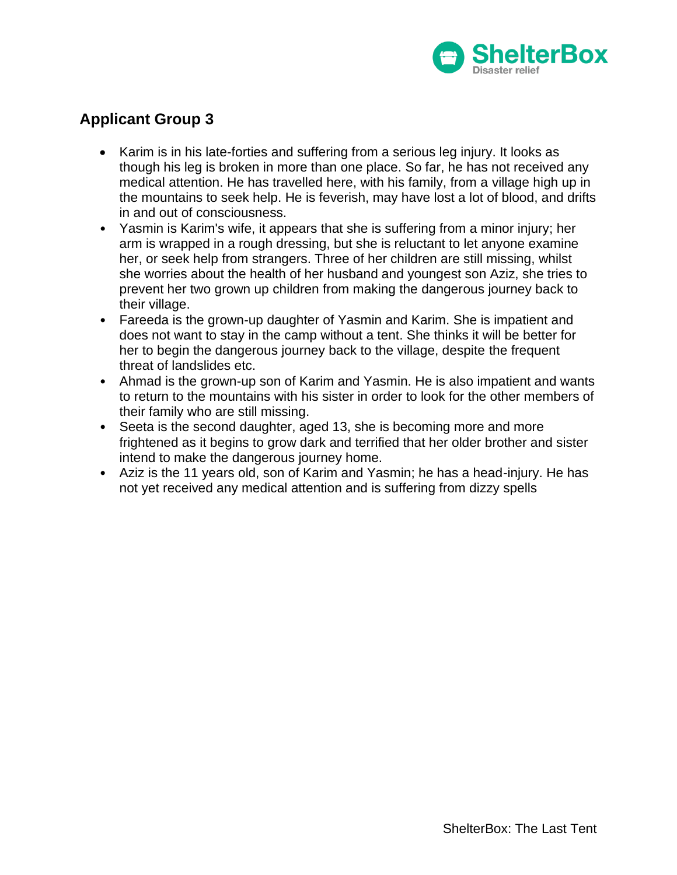

- Karim is in his late-forties and suffering from a serious leg injury. It looks as though his leg is broken in more than one place. So far, he has not received any medical attention. He has travelled here, with his family, from a village high up in the mountains to seek help. He is feverish, may have lost a lot of blood, and drifts in and out of consciousness.
- Yasmin is Karim's wife, it appears that she is suffering from a minor injury; her arm is wrapped in a rough dressing, but she is reluctant to let anyone examine her, or seek help from strangers. Three of her children are still missing, whilst she worries about the health of her husband and youngest son Aziz, she tries to prevent her two grown up children from making the dangerous journey back to their village.
- Fareeda is the grown-up daughter of Yasmin and Karim. She is impatient and does not want to stay in the camp without a tent. She thinks it will be better for her to begin the dangerous journey back to the village, despite the frequent threat of landslides etc.
- Ahmad is the grown-up son of Karim and Yasmin. He is also impatient and wants to return to the mountains with his sister in order to look for the other members of their family who are still missing.
- Seeta is the second daughter, aged 13, she is becoming more and more frightened as it begins to grow dark and terrified that her older brother and sister intend to make the dangerous journey home.
- Aziz is the 11 years old, son of Karim and Yasmin; he has a head-injury. He has not yet received any medical attention and is suffering from dizzy spells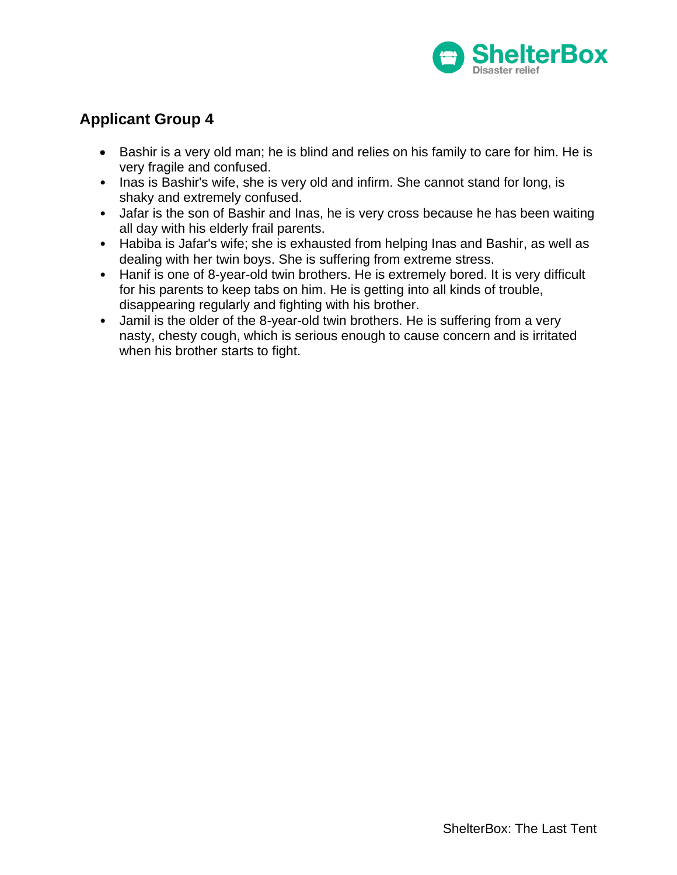

- Bashir is a very old man; he is blind and relies on his family to care for him. He is very fragile and confused.
- Inas is Bashir's wife, she is very old and infirm. She cannot stand for long, is shaky and extremely confused.
- Jafar is the son of Bashir and Inas, he is very cross because he has been waiting all day with his elderly frail parents.
- Habiba is Jafar's wife; she is exhausted from helping Inas and Bashir, as well as dealing with her twin boys. She is suffering from extreme stress.
- Hanif is one of 8-year-old twin brothers. He is extremely bored. It is very difficult for his parents to keep tabs on him. He is getting into all kinds of trouble, disappearing regularly and fighting with his brother.
- Jamil is the older of the 8-year-old twin brothers. He is suffering from a very nasty, chesty cough, which is serious enough to cause concern and is irritated when his brother starts to fight.